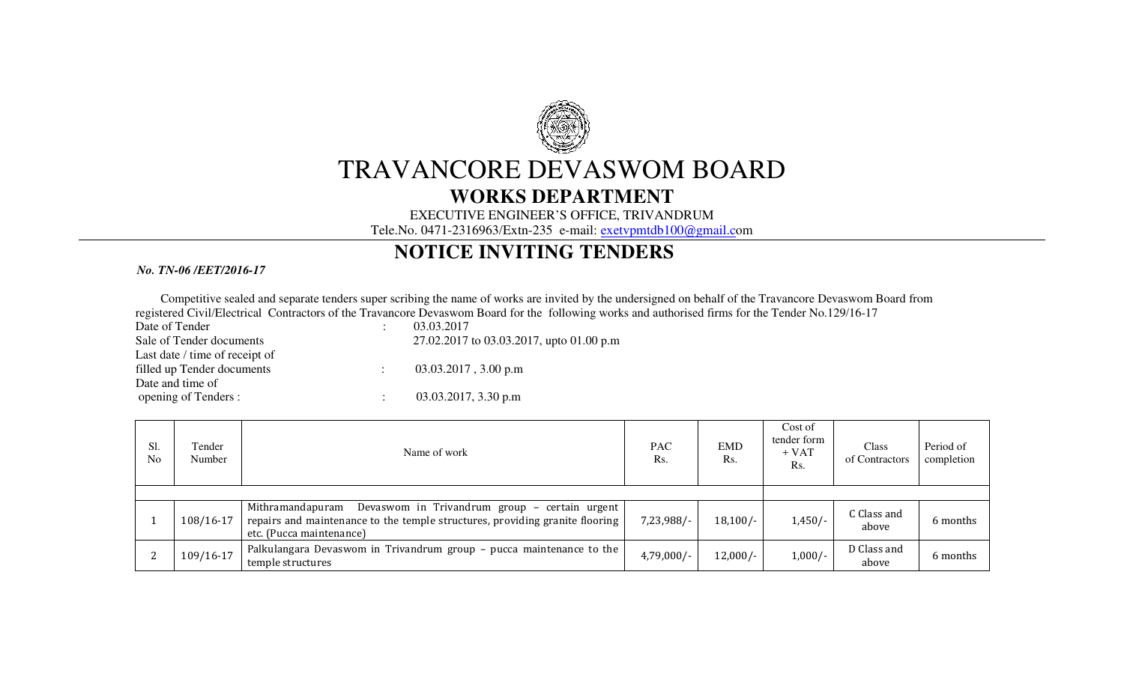

# TRAVANCORE DEVASWOM BOARD

### **WORKS DEPARTMENT**

#### EXECUTIVE ENGINEER'S OFFICE, TRIVANDRUM

Tele.No. 0471-2316963/Extn-235 e-mail: exetvpmtdb100@gmail.com

## **NOTICE INVITING TENDERS**

#### *No. TN-06 /EET/2016-17*

Competitive sealed and separate tenders super scribing the name of works are invited by the undersigned on behalf of the Travancore Devaswom Board from registered Civil/Electrical Contractors of the Travancore Devaswom Board for the following works and authorised firms for the Tender No.129/16-17

Date of Tender : 03.03.2017 Last date / time of receipt of filled up Tender documents : 03.03.2017, 3.00 p.m Date and time of opening of Tenders :

Sale of Tender documents 27.02.2017 to 03.03.2017, upto 01.00 p.m

 $\therefore$  03.03.2017, 3.30 p.m

| Sl.<br>N <sub>0</sub> | Tender<br>Number | Name of work                                                                                                                                                                  | <b>PAC</b><br>Rs. | <b>EMD</b><br>Rs. | Cost of<br>tender form<br>$+ VAT$<br>Rs. | Class<br>of Contractors | Period of<br>completion |
|-----------------------|------------------|-------------------------------------------------------------------------------------------------------------------------------------------------------------------------------|-------------------|-------------------|------------------------------------------|-------------------------|-------------------------|
|                       |                  |                                                                                                                                                                               |                   |                   |                                          |                         |                         |
|                       | 108/16-17        | Devaswom in Trivandrum group - certain urgent<br>Mithramandapuram<br>repairs and maintenance to the temple structures, providing granite flooring<br>etc. (Pucca maintenance) | $7,23,988/-$      | $18,100/-$        | $1,450/-$                                | C Class and<br>above    | 6 months                |
|                       | 109/16-17        | Palkulangara Devaswom in Trivandrum group – pucca maintenance to the<br>temple structures                                                                                     | $4,79,000/-$      | $12,000/-$        | $1,000/-$                                | D Class and<br>above    | 6 months                |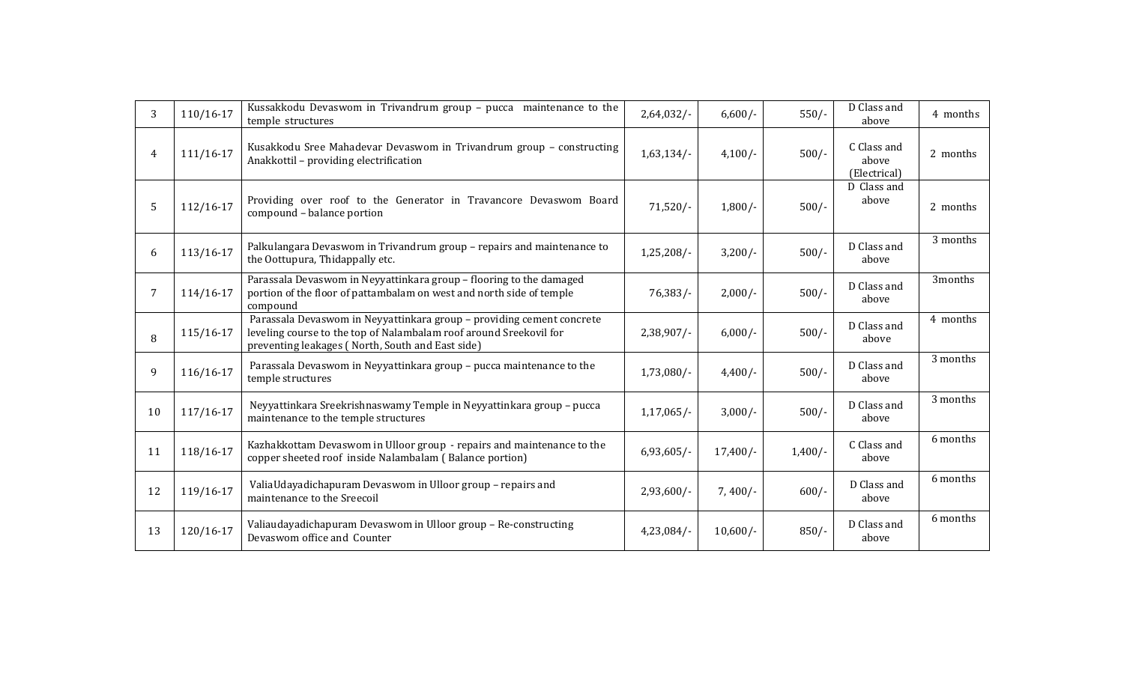| $\mathcal{E}$ | $110/16 - 17$ | Kussakkodu Devaswom in Trivandrum group - pucca maintenance to the<br>temple structures                                                                                                         | $2,64,032/-$  | $6,600/-$  | $550/-$   | D Class and<br>above                 | 4 months |
|---------------|---------------|-------------------------------------------------------------------------------------------------------------------------------------------------------------------------------------------------|---------------|------------|-----------|--------------------------------------|----------|
| 4             | $111/16-17$   | Kusakkodu Sree Mahadevar Devaswom in Trivandrum group - constructing<br>Anakkottil - providing electrification                                                                                  | 1,63,134/     | $4,100/-$  | $500/-$   | C Class and<br>above<br>(Electrical) | 2 months |
| 5             | $112/16-17$   | Providing over roof to the Generator in Travancore Devaswom Board<br>compound - balance portion                                                                                                 | $71,520/-$    | $1,800/-$  | $500/-$   | D Class and<br>above                 | 2 months |
| 6             | 113/16-17     | Palkulangara Devaswom in Trivandrum group - repairs and maintenance to<br>the Oottupura, Thidappally etc.                                                                                       | $1,25,208/-$  | $3,200/-$  | $500/-$   | D Class and<br>above                 | 3 months |
| 7             | $114/16-17$   | Parassala Devaswom in Neyyattinkara group - flooring to the damaged<br>portion of the floor of pattambalam on west and north side of temple<br>compound                                         | $76,383/$ -   | $2,000/-$  | $500/-$   | D Class and<br>above                 | 3months  |
| 8             | 115/16-17     | Parassala Devaswom in Neyyattinkara group - providing cement concrete<br>leveling course to the top of Nalambalam roof around Sreekovil for<br>preventing leakages (North, South and East side) | $2,38,907/$ - | $6,000/-$  | $500/-$   | D Class and<br>above                 | 4 months |
| 9             | 116/16-17     | Parassala Devaswom in Neyyattinkara group - pucca maintenance to the<br>temple structures                                                                                                       | $1,73,080/-$  | $4,400/-$  | $500/-$   | D Class and<br>above                 | 3 months |
| 10            | $117/16-17$   | Neyyattinkara Sreekrishnaswamy Temple in Neyyattinkara group - pucca<br>maintenance to the temple structures                                                                                    | $1,17,065/-$  | $3,000/-$  | $500/-$   | D Class and<br>above                 | 3 months |
| 11            | 118/16-17     | Kazhakkottam Devaswom in Ulloor group - repairs and maintenance to the<br>copper sheeted roof inside Nalambalam (Balance portion)                                                               | $6,93,605/-$  | $17,400/-$ | $1,400/-$ | C Class and<br>above                 | 6 months |
| 12            | 119/16-17     | ValiaUdayadichapuram Devaswom in Ulloor group - repairs and<br>maintenance to the Sreecoil                                                                                                      | $2,93,600/-$  | $7,400/-$  | $600/-$   | D Class and<br>above                 | 6 months |
| 13            | 120/16-17     | Valiaudayadichapuram Devaswom in Ulloor group - Re-constructing<br>Devaswom office and Counter                                                                                                  | 4,23,084/     | $10,600/-$ | $850/-$   | D Class and<br>above                 | 6 months |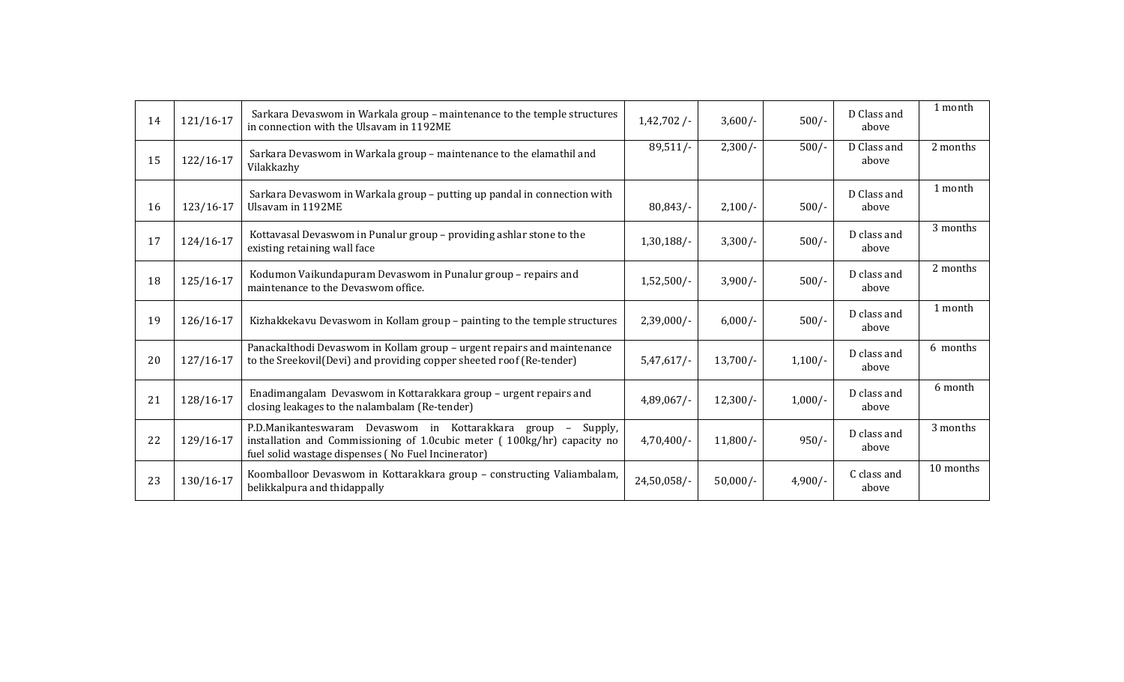| 14 | 121/16-17 | Sarkara Devaswom in Warkala group - maintenance to the temple structures<br>in connection with the Ulsavam in 1192ME                                                                                                              | 1,42,702/     | $3,600/-$  | $500/-$   | D Class and<br>above | 1 month   |
|----|-----------|-----------------------------------------------------------------------------------------------------------------------------------------------------------------------------------------------------------------------------------|---------------|------------|-----------|----------------------|-----------|
| 15 | 122/16-17 | Sarkara Devaswom in Warkala group - maintenance to the elamathil and<br>Vilakkazhy                                                                                                                                                | $89,511/-$    | $2,300/-$  | $500/-$   | D Class and<br>above | 2 months  |
| 16 | 123/16-17 | Sarkara Devaswom in Warkala group - putting up pandal in connection with<br>Ulsavam in 1192ME                                                                                                                                     | 80,843/       | $2,100/-$  | $500/-$   | D Class and<br>above | 1 month   |
| 17 | 124/16-17 | Kottavasal Devaswom in Punalur group - providing ashlar stone to the<br>existing retaining wall face                                                                                                                              | $1,30,188/-$  | $3,300/-$  | $500/-$   | D class and<br>above | 3 months  |
| 18 | 125/16-17 | Kodumon Vaikundapuram Devaswom in Punalur group - repairs and<br>maintenance to the Devaswom office.                                                                                                                              | $1,52,500/-$  | $3,900/-$  | $500/-$   | D class and<br>above | 2 months  |
| 19 | 126/16-17 | Kizhakkekavu Devaswom in Kollam group – painting to the temple structures                                                                                                                                                         | $2,39,000/-$  | $6,000/-$  | $500/-$   | D class and<br>above | 1 month   |
| 20 | 127/16-17 | Panackalthodi Devaswom in Kollam group - urgent repairs and maintenance<br>to the Sreekovil(Devi) and providing copper sheeted roof (Re-tender)                                                                                   | $5,47,617/-$  | $13,700/-$ | $1,100/-$ | D class and<br>above | 6 months  |
| 21 | 128/16-17 | Enadimangalam Devaswom in Kottarakkara group - urgent repairs and<br>closing leakages to the nalambalam (Re-tender)                                                                                                               | $4,89,067/$ - | $12,300/-$ | $1,000/-$ | D class and<br>above | 6 month   |
| 22 | 129/16-17 | P.D.Manikanteswaram Devaswom in Kottarakkara group<br>Supply,<br>$\hspace{0.1mm}-\hspace{0.1mm}$<br>installation and Commissioning of 1.0cubic meter (100kg/hr) capacity no<br>fuel solid wastage dispenses (No Fuel Incinerator) | $4,70,400/$ - | $11,800/-$ | $950/-$   | D class and<br>above | 3 months  |
| 23 | 130/16-17 | Koomballoor Devaswom in Kottarakkara group - constructing Valiambalam,<br>belikkalpura and thidappally                                                                                                                            | 24,50,058/-   | $50,000/-$ | $4,900/-$ | C class and<br>above | 10 months |